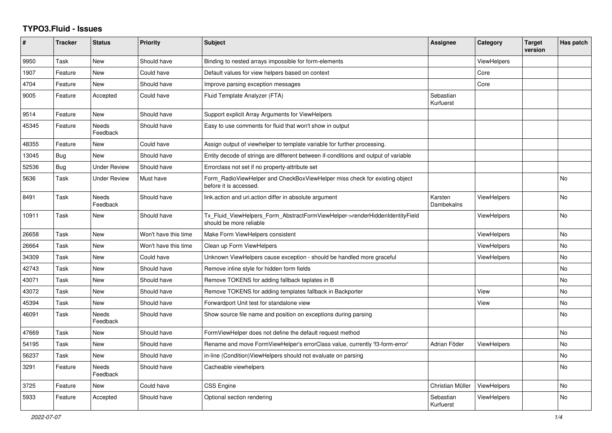## **TYPO3.Fluid - Issues**

| #     | <b>Tracker</b> | <b>Status</b>     | <b>Priority</b>      | <b>Subject</b>                                                                                         | Assignee               | Category           | <b>Target</b><br>version | Has patch      |
|-------|----------------|-------------------|----------------------|--------------------------------------------------------------------------------------------------------|------------------------|--------------------|--------------------------|----------------|
| 9950  | Task           | New               | Should have          | Binding to nested arrays impossible for form-elements                                                  |                        | <b>ViewHelpers</b> |                          |                |
| 1907  | Feature        | New               | Could have           | Default values for view helpers based on context                                                       |                        | Core               |                          |                |
| 4704  | Feature        | <b>New</b>        | Should have          | Improve parsing exception messages                                                                     |                        | Core               |                          |                |
| 9005  | Feature        | Accepted          | Could have           | Fluid Template Analyzer (FTA)                                                                          | Sebastian<br>Kurfuerst |                    |                          |                |
| 9514  | Feature        | New               | Should have          | Support explicit Array Arguments for ViewHelpers                                                       |                        |                    |                          |                |
| 45345 | Feature        | Needs<br>Feedback | Should have          | Easy to use comments for fluid that won't show in output                                               |                        |                    |                          |                |
| 48355 | Feature        | New               | Could have           | Assign output of viewhelper to template variable for further processing.                               |                        |                    |                          |                |
| 13045 | Bug            | New               | Should have          | Entity decode of strings are different between if-conditions and output of variable                    |                        |                    |                          |                |
| 52536 | Bug            | Under Review      | Should have          | Errorclass not set if no property-attribute set                                                        |                        |                    |                          |                |
| 5636  | Task           | Under Review      | Must have            | Form_RadioViewHelper and CheckBoxViewHelper miss check for existing object<br>before it is accessed.   |                        |                    |                          | <b>No</b>      |
| 8491  | Task           | Needs<br>Feedback | Should have          | link.action and uri.action differ in absolute argument                                                 | Karsten<br>Dambekalns  | <b>ViewHelpers</b> |                          | N <sub>o</sub> |
| 10911 | Task           | <b>New</b>        | Should have          | Tx_Fluid_ViewHelpers_Form_AbstractFormViewHelper->renderHiddenIdentityField<br>should be more reliable |                        | <b>ViewHelpers</b> |                          | <b>No</b>      |
| 26658 | Task           | New               | Won't have this time | Make Form ViewHelpers consistent                                                                       |                        | ViewHelpers        |                          | No             |
| 26664 | Task           | <b>New</b>        | Won't have this time | Clean up Form ViewHelpers                                                                              |                        | <b>ViewHelpers</b> |                          | <b>No</b>      |
| 34309 | Task           | New               | Could have           | Unknown ViewHelpers cause exception - should be handled more graceful                                  |                        | ViewHelpers        |                          | <b>No</b>      |
| 42743 | Task           | New               | Should have          | Remove inline style for hidden form fields                                                             |                        |                    |                          | <b>No</b>      |
| 43071 | Task           | New               | Should have          | Remove TOKENS for adding fallback teplates in B                                                        |                        |                    |                          | <b>No</b>      |
| 43072 | Task           | New               | Should have          | Remove TOKENS for adding templates fallback in Backporter                                              |                        | View               |                          | No             |
| 45394 | Task           | <b>New</b>        | Should have          | Forwardport Unit test for standalone view                                                              |                        | View               |                          | <b>No</b>      |
| 46091 | Task           | Needs<br>Feedback | Should have          | Show source file name and position on exceptions during parsing                                        |                        |                    |                          | <b>No</b>      |
| 47669 | Task           | New               | Should have          | FormViewHelper does not define the default request method                                              |                        |                    |                          | <b>No</b>      |
| 54195 | Task           | New               | Should have          | Rename and move FormViewHelper's errorClass value, currently 'f3-form-error'                           | Adrian Föder           | <b>ViewHelpers</b> |                          | <b>No</b>      |
| 56237 | Task           | New               | Should have          | in-line (Condition) View Helpers should not evaluate on parsing                                        |                        |                    |                          | No             |
| 3291  | Feature        | Needs<br>Feedback | Should have          | Cacheable viewhelpers                                                                                  |                        |                    |                          | No             |
| 3725  | Feature        | New               | Could have           | <b>CSS Engine</b>                                                                                      | Christian Müller       | <b>ViewHelpers</b> |                          | <b>No</b>      |
| 5933  | Feature        | Accepted          | Should have          | Optional section rendering                                                                             | Sebastian<br>Kurfuerst | <b>ViewHelpers</b> |                          | <b>No</b>      |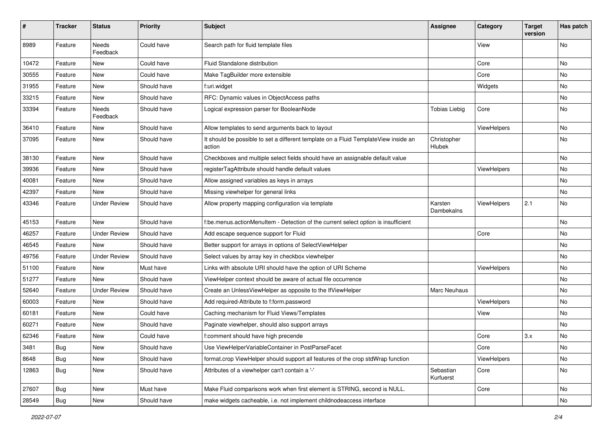| #     | <b>Tracker</b> | <b>Status</b>       | <b>Priority</b> | Subject                                                                                       | <b>Assignee</b>        | Category           | <b>Target</b><br>version | Has patch |
|-------|----------------|---------------------|-----------------|-----------------------------------------------------------------------------------------------|------------------------|--------------------|--------------------------|-----------|
| 8989  | Feature        | Needs<br>Feedback   | Could have      | Search path for fluid template files                                                          |                        | View               |                          | No        |
| 10472 | Feature        | New                 | Could have      | Fluid Standalone distribution                                                                 |                        | Core               |                          | No        |
| 30555 | Feature        | New                 | Could have      | Make TagBuilder more extensible                                                               |                        | Core               |                          | No        |
| 31955 | Feature        | New                 | Should have     | f:uri.widget                                                                                  |                        | Widgets            |                          | No        |
| 33215 | Feature        | New                 | Should have     | RFC: Dynamic values in ObjectAccess paths                                                     |                        |                    |                          | No.       |
| 33394 | Feature        | Needs<br>Feedback   | Should have     | Logical expression parser for BooleanNode                                                     | <b>Tobias Liebig</b>   | Core               |                          | No        |
| 36410 | Feature        | New                 | Should have     | Allow templates to send arguments back to layout                                              |                        | ViewHelpers        |                          | No        |
| 37095 | Feature        | New                 | Should have     | It should be possible to set a different template on a Fluid TemplateView inside an<br>action | Christopher<br>Hlubek  |                    |                          | No        |
| 38130 | Feature        | New                 | Should have     | Checkboxes and multiple select fields should have an assignable default value                 |                        |                    |                          | No        |
| 39936 | Feature        | New                 | Should have     | registerTagAttribute should handle default values                                             |                        | <b>ViewHelpers</b> |                          | No        |
| 40081 | Feature        | New                 | Should have     | Allow assigned variables as keys in arrays                                                    |                        |                    |                          | No        |
| 42397 | Feature        | New                 | Should have     | Missing viewhelper for general links                                                          |                        |                    |                          | No        |
| 43346 | Feature        | <b>Under Review</b> | Should have     | Allow property mapping configuration via template                                             | Karsten<br>Dambekalns  | ViewHelpers        | 2.1                      | No        |
| 45153 | Feature        | New                 | Should have     | f:be.menus.actionMenuItem - Detection of the current select option is insufficient            |                        |                    |                          | No        |
| 46257 | Feature        | <b>Under Review</b> | Should have     | Add escape sequence support for Fluid                                                         |                        | Core               |                          | No        |
| 46545 | Feature        | New                 | Should have     | Better support for arrays in options of SelectViewHelper                                      |                        |                    |                          | No        |
| 49756 | Feature        | <b>Under Review</b> | Should have     | Select values by array key in checkbox viewhelper                                             |                        |                    |                          | No        |
| 51100 | Feature        | New                 | Must have       | Links with absolute URI should have the option of URI Scheme                                  |                        | ViewHelpers        |                          | No        |
| 51277 | Feature        | New                 | Should have     | ViewHelper context should be aware of actual file occurrence                                  |                        |                    |                          | No        |
| 52640 | Feature        | <b>Under Review</b> | Should have     | Create an UnlessViewHelper as opposite to the IfViewHelper                                    | Marc Neuhaus           |                    |                          | No        |
| 60003 | Feature        | New                 | Should have     | Add required-Attribute to f:form.password                                                     |                        | ViewHelpers        |                          | No        |
| 60181 | Feature        | New                 | Could have      | Caching mechanism for Fluid Views/Templates                                                   |                        | View               |                          | No        |
| 60271 | Feature        | New                 | Should have     | Paginate viewhelper, should also support arrays                                               |                        |                    |                          | No        |
| 62346 | Feature        | New                 | Could have      | f:comment should have high precende                                                           |                        | Core               | 3.x                      | No        |
| 3481  | <b>Bug</b>     | New                 | Should have     | Use ViewHelperVariableContainer in PostParseFacet                                             |                        | Core               |                          | No        |
| 8648  | <b>Bug</b>     | New                 | Should have     | format.crop ViewHelper should support all features of the crop stdWrap function               |                        | ViewHelpers        |                          | No        |
| 12863 | <b>Bug</b>     | New                 | Should have     | Attributes of a viewhelper can't contain a '-'                                                | Sebastian<br>Kurfuerst | Core               |                          | No        |
| 27607 | <b>Bug</b>     | New                 | Must have       | Make Fluid comparisons work when first element is STRING, second is NULL.                     |                        | Core               |                          | No        |
| 28549 | <b>Bug</b>     | New                 | Should have     | make widgets cacheable, i.e. not implement childnodeaccess interface                          |                        |                    |                          | No        |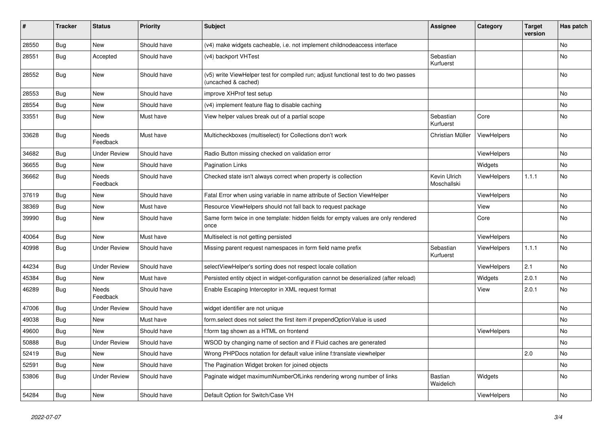| $\vert$ # | <b>Tracker</b> | <b>Status</b>       | <b>Priority</b> | <b>Subject</b>                                                                                              | Assignee                    | Category           | <b>Target</b><br>version | Has patch |
|-----------|----------------|---------------------|-----------------|-------------------------------------------------------------------------------------------------------------|-----------------------------|--------------------|--------------------------|-----------|
| 28550     | <b>Bug</b>     | <b>New</b>          | Should have     | (v4) make widgets cacheable, i.e. not implement childnodeaccess interface                                   |                             |                    |                          | <b>No</b> |
| 28551     | Bug            | Accepted            | Should have     | (v4) backport VHTest                                                                                        | Sebastian<br>Kurfuerst      |                    |                          | <b>No</b> |
| 28552     | Bug            | New                 | Should have     | (v5) write ViewHelper test for compiled run; adjust functional test to do two passes<br>(uncached & cached) |                             |                    |                          | No        |
| 28553     | <b>Bug</b>     | New                 | Should have     | improve XHProf test setup                                                                                   |                             |                    |                          | No        |
| 28554     | Bug            | New                 | Should have     | (v4) implement feature flag to disable caching                                                              |                             |                    |                          | No        |
| 33551     | Bug            | New                 | Must have       | View helper values break out of a partial scope                                                             | Sebastian<br>Kurfuerst      | Core               |                          | No        |
| 33628     | <b>Bug</b>     | Needs<br>Feedback   | Must have       | Multicheckboxes (multiselect) for Collections don't work                                                    | Christian Müller            | ViewHelpers        |                          | No        |
| 34682     | Bug            | <b>Under Review</b> | Should have     | Radio Button missing checked on validation error                                                            |                             | ViewHelpers        |                          | <b>No</b> |
| 36655     | Bug            | New                 | Should have     | <b>Pagination Links</b>                                                                                     |                             | Widgets            |                          | <b>No</b> |
| 36662     | <b>Bug</b>     | Needs<br>Feedback   | Should have     | Checked state isn't always correct when property is collection                                              | Kevin Ulrich<br>Moschallski | <b>ViewHelpers</b> | 1.1.1                    | No        |
| 37619     | Bug            | New                 | Should have     | Fatal Error when using variable in name attribute of Section ViewHelper                                     |                             | <b>ViewHelpers</b> |                          | No        |
| 38369     | Bug            | New                 | Must have       | Resource ViewHelpers should not fall back to request package                                                |                             | View               |                          | No        |
| 39990     | Bug            | <b>New</b>          | Should have     | Same form twice in one template: hidden fields for empty values are only rendered<br>once                   |                             | Core               |                          | No        |
| 40064     | Bug            | <b>New</b>          | Must have       | Multiselect is not getting persisted                                                                        |                             | ViewHelpers        |                          | No        |
| 40998     | Bug            | <b>Under Review</b> | Should have     | Missing parent request namespaces in form field name prefix                                                 | Sebastian<br>Kurfuerst      | ViewHelpers        | 1.1.1                    | <b>No</b> |
| 44234     | Bug            | <b>Under Review</b> | Should have     | selectViewHelper's sorting does not respect locale collation                                                |                             | ViewHelpers        | 2.1                      | No        |
| 45384     | <b>Bug</b>     | New                 | Must have       | Persisted entity object in widget-configuration cannot be deserialized (after reload)                       |                             | Widgets            | 2.0.1                    | No        |
| 46289     | Bug            | Needs<br>Feedback   | Should have     | Enable Escaping Interceptor in XML request format                                                           |                             | View               | 2.0.1                    | <b>No</b> |
| 47006     | <b>Bug</b>     | Under Review        | Should have     | widget identifier are not unique                                                                            |                             |                    |                          | No        |
| 49038     | Bug            | New                 | Must have       | form select does not select the first item if prependOptionValue is used                                    |                             |                    |                          | <b>No</b> |
| 49600     | Bug            | New                 | Should have     | f:form tag shown as a HTML on frontend                                                                      |                             | ViewHelpers        |                          | <b>No</b> |
| 50888     | <b>Bug</b>     | <b>Under Review</b> | Should have     | WSOD by changing name of section and if Fluid caches are generated                                          |                             |                    |                          | <b>No</b> |
| 52419     | <b>Bug</b>     | New                 | Should have     | Wrong PHPDocs notation for default value inline f:translate viewhelper                                      |                             |                    | 2.0                      | <b>No</b> |
| 52591     | <b>Bug</b>     | <b>New</b>          | Should have     | The Pagination Widget broken for joined objects                                                             |                             |                    |                          | <b>No</b> |
| 53806     | Bug            | Under Review        | Should have     | Paginate widget maximumNumberOfLinks rendering wrong number of links                                        | Bastian<br>Waidelich        | Widgets            |                          | <b>No</b> |
| 54284     | Bug            | <b>New</b>          | Should have     | Default Option for Switch/Case VH                                                                           |                             | ViewHelpers        |                          | <b>No</b> |